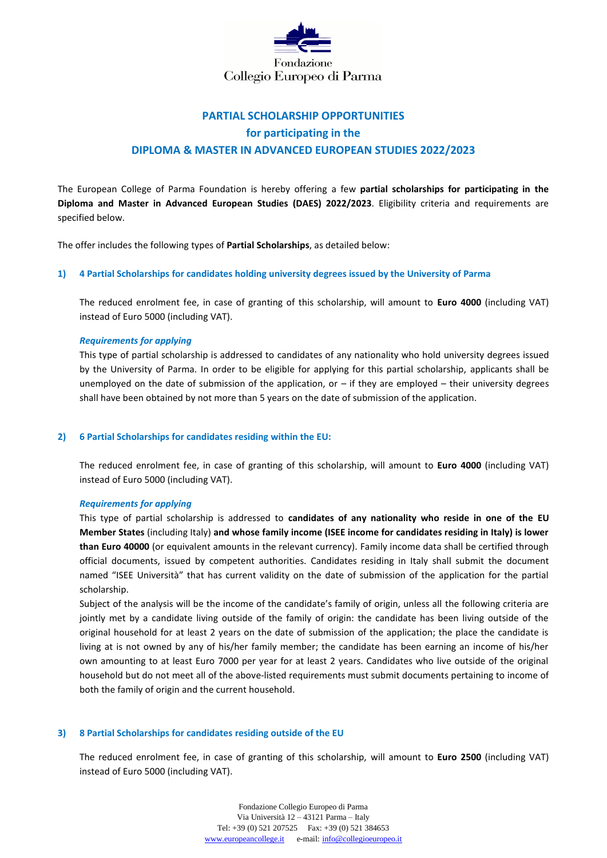

# **PARTIAL SCHOLARSHIP OPPORTUNITIES for participating in the DIPLOMA & MASTER IN ADVANCED EUROPEAN STUDIES 2022/2023**

The European College of Parma Foundation is hereby offering a few **partial scholarships for participating in the Diploma and Master in Advanced European Studies (DAES) 2022/2023**. Eligibility criteria and requirements are specified below.

The offer includes the following types of **Partial Scholarships**, as detailed below:

## **1) 4 Partial Scholarships for candidates holding university degrees issued by the University of Parma**

The reduced enrolment fee, in case of granting of this scholarship, will amount to **Euro 4000** (including VAT) instead of Euro 5000 (including VAT).

## *Requirements for applying*

This type of partial scholarship is addressed to candidates of any nationality who hold university degrees issued by the University of Parma. In order to be eligible for applying for this partial scholarship, applicants shall be unemployed on the date of submission of the application, or – if they are employed – their university degrees shall have been obtained by not more than 5 years on the date of submission of the application.

### **2) 6 Partial Scholarships for candidates residing within the EU:**

The reduced enrolment fee, in case of granting of this scholarship, will amount to **Euro 4000** (including VAT) instead of Euro 5000 (including VAT).

### *Requirements for applying*

This type of partial scholarship is addressed to **candidates of any nationality who reside in one of the EU Member States** (including Italy) **and whose family income (ISEE income for candidates residing in Italy) is lower than Euro 40000** (or equivalent amounts in the relevant currency). Family income data shall be certified through official documents, issued by competent authorities. Candidates residing in Italy shall submit the document named "ISEE Università" that has current validity on the date of submission of the application for the partial scholarship.

Subject of the analysis will be the income of the candidate's family of origin, unless all the following criteria are jointly met by a candidate living outside of the family of origin: the candidate has been living outside of the original household for at least 2 years on the date of submission of the application; the place the candidate is living at is not owned by any of his/her family member; the candidate has been earning an income of his/her own amounting to at least Euro 7000 per year for at least 2 years. Candidates who live outside of the original household but do not meet all of the above-listed requirements must submit documents pertaining to income of both the family of origin and the current household.

# **3) 8 Partial Scholarships for candidates residing outside of the EU**

The reduced enrolment fee, in case of granting of this scholarship, will amount to **Euro 2500** (including VAT) instead of Euro 5000 (including VAT).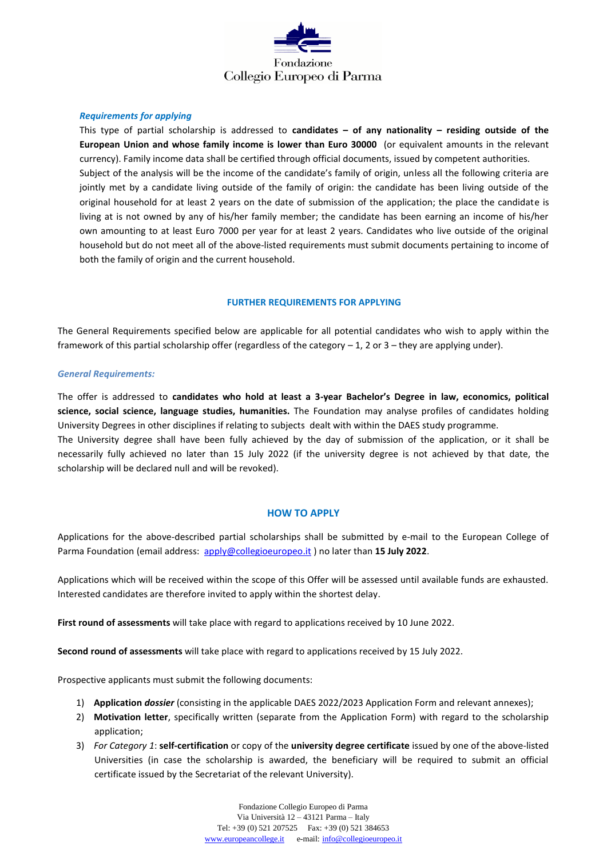

# *Requirements for applying*

This type of partial scholarship is addressed to **candidates – of any nationality – residing outside of the European Union and whose family income is lower than Euro 30000** (or equivalent amounts in the relevant currency). Family income data shall be certified through official documents, issued by competent authorities. Subject of the analysis will be the income of the candidate's family of origin, unless all the following criteria are jointly met by a candidate living outside of the family of origin: the candidate has been living outside of the original household for at least 2 years on the date of submission of the application; the place the candidate is living at is not owned by any of his/her family member; the candidate has been earning an income of his/her own amounting to at least Euro 7000 per year for at least 2 years. Candidates who live outside of the original household but do not meet all of the above-listed requirements must submit documents pertaining to income of both the family of origin and the current household.

## **FURTHER REQUIREMENTS FOR APPLYING**

The General Requirements specified below are applicable for all potential candidates who wish to apply within the framework of this partial scholarship offer (regardless of the category  $-1$ , 2 or 3 – they are applying under).

### *General Requirements:*

The offer is addressed to **candidates who hold at least a 3-year Bachelor's Degree in law, economics, political science, social science, language studies, humanities.** The Foundation may analyse profiles of candidates holding University Degrees in other disciplines if relating to subjects dealt with within the DAES study programme.

The University degree shall have been fully achieved by the day of submission of the application, or it shall be necessarily fully achieved no later than 15 July 2022 (if the university degree is not achieved by that date, the scholarship will be declared null and will be revoked).

### **HOW TO APPLY**

Applications for the above-described partial scholarships shall be submitted by e-mail to the European College of Parma Foundation (email address: [apply@collegioeuropeo.it](mailto:apply@collegioeuropeo.it)) no later than 15 July 2022.

Applications which will be received within the scope of this Offer will be assessed until available funds are exhausted. Interested candidates are therefore invited to apply within the shortest delay.

**First round of assessments** will take place with regard to applications received by 10 June 2022.

**Second round of assessments** will take place with regard to applications received by 15 July 2022.

Prospective applicants must submit the following documents:

- 1) **Application** *dossier* (consisting in the applicable DAES 2022/2023 Application Form and relevant annexes);
- 2) **Motivation letter**, specifically written (separate from the Application Form) with regard to the scholarship application;
- 3) *For Category 1*: **self-certification** or copy of the **university degree certificate** issued by one of the above-listed Universities (in case the scholarship is awarded, the beneficiary will be required to submit an official certificate issued by the Secretariat of the relevant University).